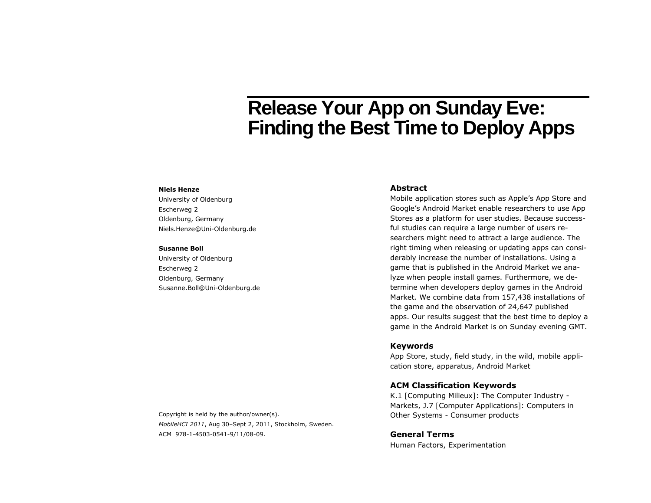# **Release Your App on Sunday Eve: Finding the Best Time to Deploy Apps**

#### **Niels Henze**

University of Oldenburg Escherweg 2 Oldenburg, Germany Niels.Henze@Uni-Oldenburg.de

### **Susanne Boll**

University of Oldenburg Escherweg 2 Oldenburg, Germany Susanne.Boll@Uni-Oldenburg.de

## **Abstract**

Mobile application stores such as Apple's App Store and Google's Android Market enable researchers to use App Stores as a platform for user studies. Because successful studies can require a large number of users researchers might need to attract a large audience. The right timing when releasing or updating apps can considerably increase the number of installations. Using a game that is published in the Android Market we analyze when people install games. Furthermore, we determine when developers deploy games in the Android Market. We combine data from 157,438 installations of the game and the observation of 24,647 published apps. Our results suggest that the best time to deploy a game in the Android Market is on Sunday evening GMT.

## **Keywords**

App Store, study, field study, in the wild, mobile application store, apparatus, Android Market

## **ACM Classification Keywords**

K.1 [Computing Milieux]: The Computer Industry - Markets, J.7 [Computer Applications]: Computers in Other Systems - Consumer products

# **General Terms**

Human Factors, Experimentation

Copyright is held by the author/owner(s). *MobileHCI 2011*, Aug 30–Sept 2, 2011, Stockholm, Sweden. ACM 978-1-4503-0541-9/11/08-09.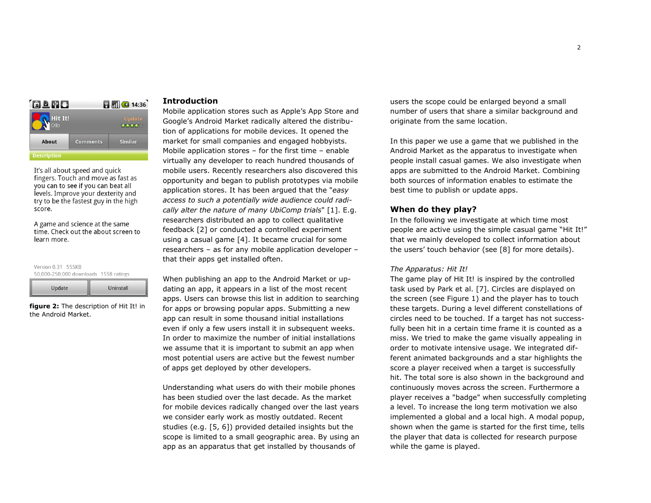

It's all about speed and quick fingers. Touch and move as fast as you can to see if you can beat all levels. Improve your dexterity and try to be the fastest guy in the high score.

A game and science at the same time. Check out the about screen to learn more.

| Update                                | Uninstall |
|---------------------------------------|-----------|
| 50,000-250,000 downloads 1558 ratings |           |
| Version 0.31 555KB                    |           |

**figure 2:** The description of Hit It! in the Android Market.

## **Introduction**

Mobile application stores such as Apple's App Store and Google's Android Market radically altered the distribution of applications for mobile devices. It opened the market for small companies and engaged hobbyists. Mobile application stores – for the first time – enable virtually any developer to reach hundred thousands of mobile users. Recently researchers also discovered this opportunity and began to publish prototypes via mobile application stores. It has been argued that the "*easy access to such a potentially wide audience could radically alter the nature of many UbiComp trials*" [1]. E.g. researchers distributed an app to collect qualitative feedback [2] or conducted a controlled experiment using a casual game [4]. It became crucial for some researchers – as for any mobile application developer – that their apps get installed often.

When publishing an app to the Android Market or updating an app, it appears in a list of the most recent apps. Users can browse this list in addition to searching for apps or browsing popular apps. Submitting a new app can result in some thousand initial installations even if only a few users install it in subsequent weeks. In order to maximize the number of initial installations we assume that it is important to submit an app when most potential users are active but the fewest number of apps get deployed by other developers.

Understanding what users do with their mobile phones has been studied over the last decade. As the market for mobile devices radically changed over the last years we consider early work as mostly outdated. Recent studies (e.g. [5, 6]) provided detailed insights but the scope is limited to a small geographic area. By using an app as an apparatus that get installed by thousands of

users the scope could be enlarged beyond a small number of users that share a similar background and originate from the same location.

In this paper we use a game that we published in the Android Market as the apparatus to investigate when people install casual games. We also investigate when apps are submitted to the Android Market. Combining both sources of information enables to estimate the best time to publish or update apps.

# **When do they play?**

In the following we investigate at which time most people are active using the simple casual game "Hit It!" that we mainly developed to collect information about the users' touch behavior (see [8] for more details).

# *The Apparatus: Hit It!*

The game play of Hit It! is inspired by the controlled task used by Park et al. [7]. Circles are displayed on the screen (see Figure 1) and the player has to touch these targets. During a level different constellations of circles need to be touched. If a target has not successfully been hit in a certain time frame it is counted as a miss. We tried to make the game visually appealing in order to motivate intensive usage. We integrated different animated backgrounds and a star highlights the score a player received when a target is successfully hit. The total sore is also shown in the background and continuously moves across the screen. Furthermore a player receives a "badge" when successfully completing a level. To increase the long term motivation we also implemented a global and a local high. A modal popup, shown when the game is started for the first time, tells the player that data is collected for research purpose while the game is played.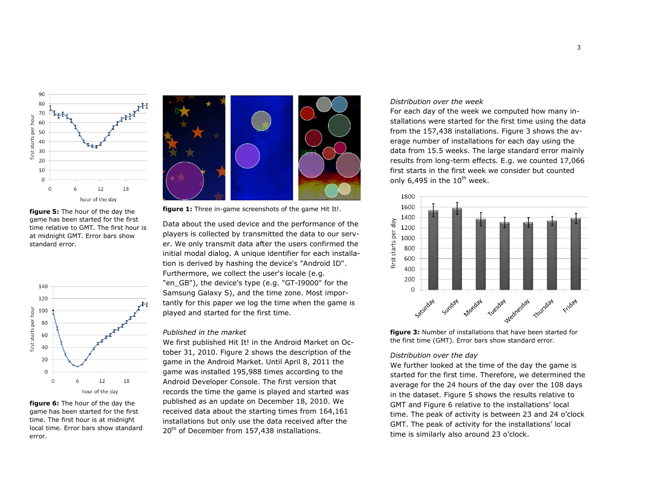

**figure 5:** The hour of the day the game has been started for the first time relative to GMT. The first hour is at midnight GMT. Error bars show standard error.



**figure 6:** The hour of the day the game has been started for the first time. The first hour is at midnight local time. Error bars show standard error.



**figure 1:** Three in-game screenshots of the game Hit It!.

Data about the used device and the performance of the players is collected by transmitted the data to our server. We only transmit data after the users confirmed the initial modal dialog. A unique identifier for each installation is derived by hashing the device's "Android ID". Furthermore, we collect the user's locale (e.g. "en\_GB"), the device's type (e.g. "GT-I9000" for the Samsung Galaxy S), and the time zone. Most importantly for this paper we log the time when the game is played and started for the first time.

### *Published in the market*

We first published Hit It! in the Android Market on October 31, 2010. Figure 2 shows the description of the game in the Android Market. Until April 8, 2011 the game was installed 195,988 times according to the Android Developer Console. The first version that records the time the game is played and started was published as an update on December 18, 2010. We received data about the starting times from 164,161 installations but only use the data received after the 20<sup>th</sup> of December from 157,438 installations.

## *Distribution over the week*

For each day of the week we computed how many installations were started for the first time using the data from the 157,438 installations. Figure 3 shows the average number of installations for each day using the data from 15.5 weeks. The large standard error mainly results from long-term effects. E.g. we counted 17,066 first starts in the first week we consider but counted only 6,495 in the  $10^{th}$  week.



**figure 3:** Number of installations that have been started for the first time (GMT). Error bars show standard error.

## *Distribution over the day*

We further looked at the time of the day the game is started for the first time. Therefore, we determined the average for the 24 hours of the day over the 108 days in the dataset. Figure 5 shows the results relative to GMT and Figure 6 relative to the installations' local time. The peak of activity is between 23 and 24 o'clock GMT. The peak of activity for the installations' local time is similarly also around 23 o'clock.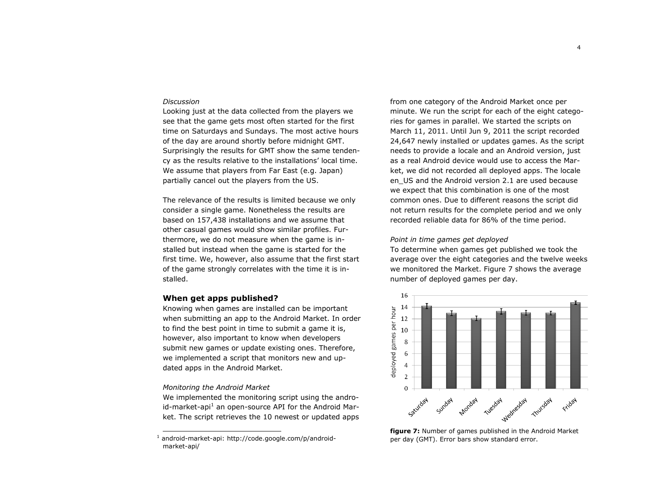## *Discussion*

Looking just at the data collected from the players we see that the game gets most often started for the first time on Saturdays and Sundays. The most active hours of the day are around shortly before midnight GMT. Surprisingly the results for GMT show the same tendency as the results relative to the installations' local time. We assume that players from Far East (e.g. Japan) partially cancel out the players from the US.

The relevance of the results is limited because we only consider a single game. Nonetheless the results are based on 157,438 installations and we assume that other casual games would show similar profiles. Furthermore, we do not measure when the game is installed but instead when the game is started for the first time. We, however, also assume that the first start of the game strongly correlates with the time it is installed.

## **When get apps published?**

Knowing when games are installed can be important when submitting an app to the Android Market. In order to find the best point in time to submit a game it is, however, also important to know when developers submit new games or update existing ones. Therefore, we implemented a script that monitors new and updated apps in the Android Market.

#### *Monitoring the Android Market*

ł

We implemented the monitoring script using the android-market-api<sup>1</sup> an open-source API for the Android Market. The script retrieves the 10 newest or updated apps from one category of the Android Market once per minute. We run the script for each of the eight categories for games in parallel. We started the scripts on March 11, 2011. Until Jun 9, 2011 the script recorded 24,647 newly installed or updates games. As the script needs to provide a locale and an Android version, just as a real Android device would use to access the Market, we did not recorded all deployed apps. The locale en US and the Android version 2.1 are used because we expect that this combination is one of the most common ones. Due to different reasons the script did not return results for the complete period and we only recorded reliable data for 86% of the time period.

#### *Point in time games get deployed*

To determine when games get published we took the average over the eight categories and the twelve weeks we monitored the Market. Figure 7 shows the average number of deployed games per day.



**figure 7:** Number of games published in the Android Market per day (GMT). Error bars show standard error.

<sup>1</sup> android-market-api: http://code.google.com/p/androidmarket-api/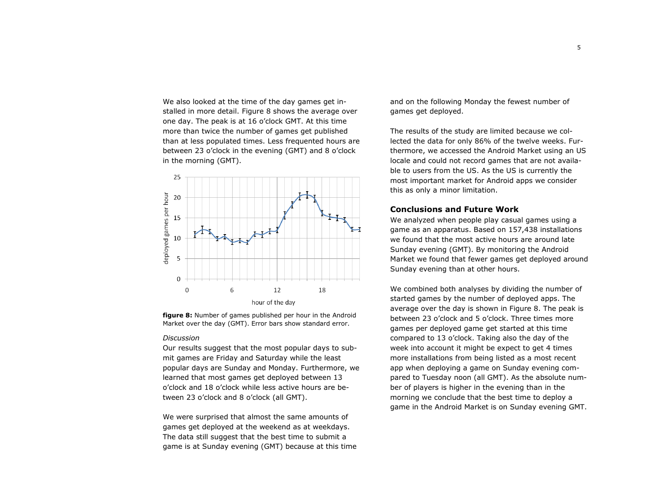We also looked at the time of the day games get installed in more detail. Figure 8 shows the average over one day. The peak is at 16 o'clock GMT. At this time more than twice the number of games get published than at less populated times. Less frequented hours are between 23 o'clock in the evening (GMT) and 8 o'clock in the morning (GMT).



**figure 8:** Number of games published per hour in the Android Market over the day (GMT). Error bars show standard error.

#### *Discussion*

Our results suggest that the most popular days to submit games are Friday and Saturday while the least popular days are Sunday and Monday. Furthermore, we learned that most games get deployed between 13 o'clock and 18 o'clock while less active hours are between 23 o'clock and 8 o'clock (all GMT).

We were surprised that almost the same amounts of games get deployed at the weekend as at weekdays. The data still suggest that the best time to submit a game is at Sunday evening (GMT) because at this time and on the following Monday the fewest number of games get deployed.

The results of the study are limited because we collected the data for only 86% of the twelve weeks. Furthermore, we accessed the Android Market using an US locale and could not record games that are not available to users from the US. As the US is currently the most important market for Android apps we consider this as only a minor limitation.

# **Conclusions and Future Work**

We analyzed when people play casual games using a game as an apparatus. Based on 157,438 installations we found that the most active hours are around late Sunday evening (GMT). By monitoring the Android Market we found that fewer games get deployed around Sunday evening than at other hours.

We combined both analyses by dividing the number of started games by the number of deployed apps. The average over the day is shown in Figure 8. The peak is between 23 o'clock and 5 o'clock. Three times more games per deployed game get started at this time compared to 13 o'clock. Taking also the day of the week into account it might be expect to get 4 times more installations from being listed as a most recent app when deploying a game on Sunday evening compared to Tuesday noon (all GMT). As the absolute number of players is higher in the evening than in the morning we conclude that the best time to deploy a game in the Android Market is on Sunday evening GMT.